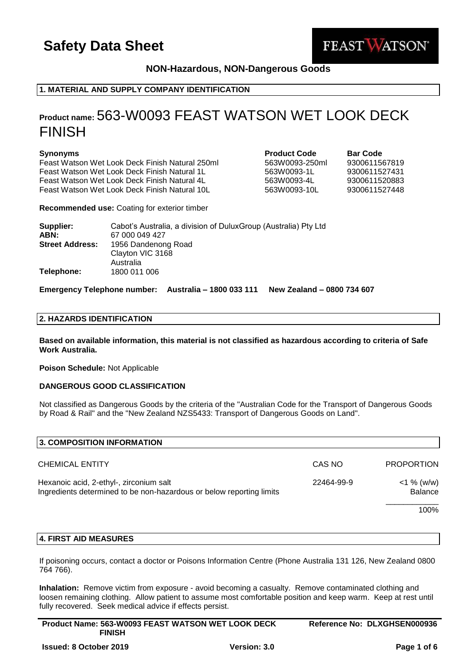

## **NON-Hazardous, NON-Dangerous Goods**

## **1. MATERIAL AND SUPPLY COMPANY IDENTIFICATION**

## **Product name:** 563-W0093 FEAST WATSON WET LOOK DECK FINISH

### **Synonyms Product Code Bar Code**

Feast Watson Wet Look Deck Finish Natural 250ml 563W0093-250ml 9300611567819 Feast Watson Wet Look Deck Finish Natural 1L 563W0093-1L 9300611527431 Feast Watson Wet Look Deck Finish Natural 4L 563W0093-4L 9300611520883 Feast Watson Wet Look Deck Finish Natural 10L 563W0093-10L 9300611527448

**Recommended use:** Coating for exterior timber

| Supplier:              | Cabot's Australia, a division of DuluxGroup (Australia) Pty Ltd |
|------------------------|-----------------------------------------------------------------|
| ABN:                   | 67 000 049 427                                                  |
| <b>Street Address:</b> | 1956 Dandenong Road                                             |
|                        | Clayton VIC 3168                                                |
|                        | Australia                                                       |
| Telephone:             | 1800 011 006                                                    |

**Emergency Telephone number: Australia – 1800 033 111 New Zealand – 0800 734 607**

### **2. HAZARDS IDENTIFICATION**

**Based on available information, this material is not classified as hazardous according to criteria of Safe Work Australia.**

**Poison Schedule:** Not Applicable

## **DANGEROUS GOOD CLASSIFICATION**

Not classified as Dangerous Goods by the criteria of the "Australian Code for the Transport of Dangerous Goods by Road & Rail" and the "New Zealand NZS5433: Transport of Dangerous Goods on Land".

| CAS NO                                                                                                                        | <b>PROPORTION</b>        |
|-------------------------------------------------------------------------------------------------------------------------------|--------------------------|
| Hexanoic acid, 2-ethyl-, zirconium salt<br>22464-99-9<br>Ingredients determined to be non-hazardous or below reporting limits | $<$ 1 % (w/w)<br>Balance |
|                                                                                                                               | 100%                     |
|                                                                                                                               |                          |

## **4. FIRST AID MEASURES**

If poisoning occurs, contact a doctor or Poisons Information Centre (Phone Australia 131 126, New Zealand 0800 764 766).

**Inhalation:** Remove victim from exposure - avoid becoming a casualty. Remove contaminated clothing and loosen remaining clothing. Allow patient to assume most comfortable position and keep warm. Keep at rest until fully recovered. Seek medical advice if effects persist.

| <b>Product Name: 563-W0093 FEAST WATSON WET LOOK DECK</b> | Reference No: DLXGHSEN000936 |
|-----------------------------------------------------------|------------------------------|
| <b>FINISH</b>                                             |                              |
|                                                           |                              |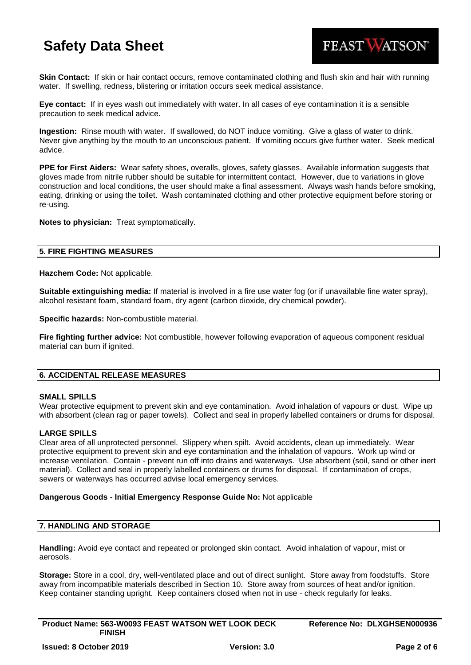

**Skin Contact:** If skin or hair contact occurs, remove contaminated clothing and flush skin and hair with running water. If swelling, redness, blistering or irritation occurs seek medical assistance.

**Eye contact:** If in eyes wash out immediately with water. In all cases of eye contamination it is a sensible precaution to seek medical advice.

**Ingestion:** Rinse mouth with water. If swallowed, do NOT induce vomiting. Give a glass of water to drink. Never give anything by the mouth to an unconscious patient. If vomiting occurs give further water. Seek medical advice.

**PPE for First Aiders:** Wear safety shoes, overalls, gloves, safety glasses. Available information suggests that gloves made from nitrile rubber should be suitable for intermittent contact. However, due to variations in glove construction and local conditions, the user should make a final assessment. Always wash hands before smoking, eating, drinking or using the toilet. Wash contaminated clothing and other protective equipment before storing or re-using.

**Notes to physician:** Treat symptomatically.

### **5. FIRE FIGHTING MEASURES**

**Hazchem Code:** Not applicable.

**Suitable extinguishing media:** If material is involved in a fire use water fog (or if unavailable fine water spray), alcohol resistant foam, standard foam, dry agent (carbon dioxide, dry chemical powder).

**Specific hazards:** Non-combustible material.

**Fire fighting further advice:** Not combustible, however following evaporation of aqueous component residual material can burn if ignited.

### **6. ACCIDENTAL RELEASE MEASURES**

### **SMALL SPILLS**

Wear protective equipment to prevent skin and eye contamination. Avoid inhalation of vapours or dust. Wipe up with absorbent (clean rag or paper towels). Collect and seal in properly labelled containers or drums for disposal.

### **LARGE SPILLS**

Clear area of all unprotected personnel. Slippery when spilt. Avoid accidents, clean up immediately. Wear protective equipment to prevent skin and eye contamination and the inhalation of vapours. Work up wind or increase ventilation. Contain - prevent run off into drains and waterways. Use absorbent (soil, sand or other inert material). Collect and seal in properly labelled containers or drums for disposal. If contamination of crops, sewers or waterways has occurred advise local emergency services.

#### **Dangerous Goods - Initial Emergency Response Guide No:** Not applicable

### **7. HANDLING AND STORAGE**

**Handling:** Avoid eye contact and repeated or prolonged skin contact. Avoid inhalation of vapour, mist or aerosols.

**Storage:** Store in a cool, dry, well-ventilated place and out of direct sunlight. Store away from foodstuffs. Store away from incompatible materials described in Section 10. Store away from sources of heat and/or ignition. Keep container standing upright. Keep containers closed when not in use - check regularly for leaks.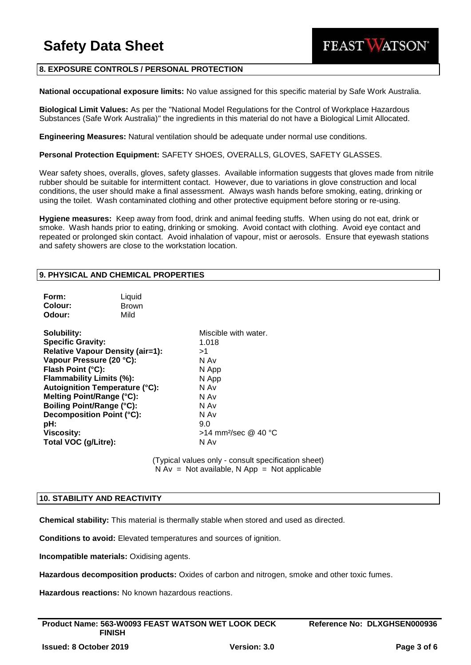## **8. EXPOSURE CONTROLS / PERSONAL PROTECTION**

**National occupational exposure limits:** No value assigned for this specific material by Safe Work Australia.

**Biological Limit Values:** As per the "National Model Regulations for the Control of Workplace Hazardous Substances (Safe Work Australia)" the ingredients in this material do not have a Biological Limit Allocated.

**Engineering Measures:** Natural ventilation should be adequate under normal use conditions.

**Personal Protection Equipment:** SAFETY SHOES, OVERALLS, GLOVES, SAFETY GLASSES.

Wear safety shoes, overalls, gloves, safety glasses. Available information suggests that gloves made from nitrile rubber should be suitable for intermittent contact. However, due to variations in glove construction and local conditions, the user should make a final assessment. Always wash hands before smoking, eating, drinking or using the toilet. Wash contaminated clothing and other protective equipment before storing or re-using.

**Hygiene measures:** Keep away from food, drink and animal feeding stuffs. When using do not eat, drink or smoke. Wash hands prior to eating, drinking or smoking. Avoid contact with clothing. Avoid eye contact and repeated or prolonged skin contact. Avoid inhalation of vapour, mist or aerosols. Ensure that eyewash stations and safety showers are close to the workstation location.

## **9. PHYSICAL AND CHEMICAL PROPERTIES**

| Form:<br>Colour:<br>Odour:                                                                                                                                                                                                                                                                                                                                 | Liquid<br><b>Brown</b><br>Mild |                                                                                                                                                  |
|------------------------------------------------------------------------------------------------------------------------------------------------------------------------------------------------------------------------------------------------------------------------------------------------------------------------------------------------------------|--------------------------------|--------------------------------------------------------------------------------------------------------------------------------------------------|
| Solubility:<br><b>Specific Gravity:</b><br><b>Relative Vapour Density (air=1):</b><br>Vapour Pressure (20 °C):<br>Flash Point (°C):<br>Flammability Limits (%):<br><b>Autoignition Temperature (°C):</b><br>Melting Point/Range (°C):<br><b>Boiling Point/Range (°C):</b><br>Decomposition Point (°C):<br>pH:<br><b>Viscosity:</b><br>Total VOC (g/Litre): |                                | Miscible with water.<br>1.018<br>>1<br>N Av<br>N App<br>N App<br>N Av<br>N Av<br>N Av<br>N Av<br>9.0<br>>14 mm <sup>2</sup> /sec @ 40 °C<br>N Av |

(Typical values only - consult specification sheet)  $N Av = Not available, N App = Not applicable$ 

### **10. STABILITY AND REACTIVITY**

**Chemical stability:** This material is thermally stable when stored and used as directed.

**Conditions to avoid:** Elevated temperatures and sources of ignition.

**Incompatible materials:** Oxidising agents.

**Hazardous decomposition products:** Oxides of carbon and nitrogen, smoke and other toxic fumes.

**Hazardous reactions:** No known hazardous reactions.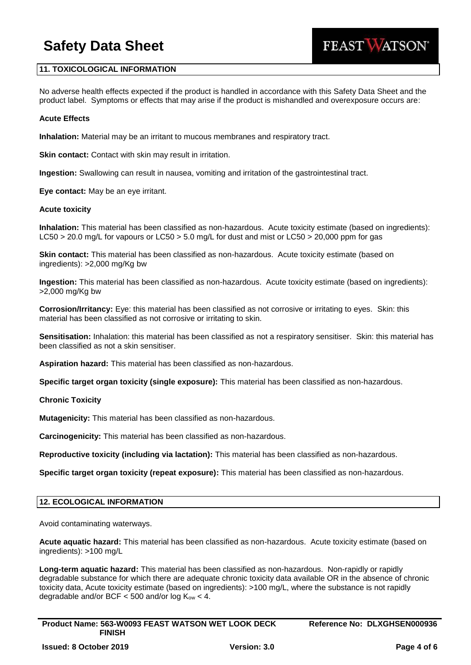

## **11. TOXICOLOGICAL INFORMATION**

No adverse health effects expected if the product is handled in accordance with this Safety Data Sheet and the product label. Symptoms or effects that may arise if the product is mishandled and overexposure occurs are:

### **Acute Effects**

**Inhalation:** Material may be an irritant to mucous membranes and respiratory tract.

**Skin contact:** Contact with skin may result in irritation.

**Ingestion:** Swallowing can result in nausea, vomiting and irritation of the gastrointestinal tract.

**Eye contact:** May be an eye irritant.

#### **Acute toxicity**

**Inhalation:** This material has been classified as non-hazardous. Acute toxicity estimate (based on ingredients): LC50 > 20.0 mg/L for vapours or LC50 > 5.0 mg/L for dust and mist or LC50 > 20,000 ppm for gas

**Skin contact:** This material has been classified as non-hazardous. Acute toxicity estimate (based on ingredients): >2,000 mg/Kg bw

**Ingestion:** This material has been classified as non-hazardous. Acute toxicity estimate (based on ingredients): >2,000 mg/Kg bw

**Corrosion/Irritancy:** Eye: this material has been classified as not corrosive or irritating to eyes. Skin: this material has been classified as not corrosive or irritating to skin.

**Sensitisation:** Inhalation: this material has been classified as not a respiratory sensitiser. Skin: this material has been classified as not a skin sensitiser.

**Aspiration hazard:** This material has been classified as non-hazardous.

**Specific target organ toxicity (single exposure):** This material has been classified as non-hazardous.

### **Chronic Toxicity**

**Mutagenicity:** This material has been classified as non-hazardous.

**Carcinogenicity:** This material has been classified as non-hazardous.

**Reproductive toxicity (including via lactation):** This material has been classified as non-hazardous.

**Specific target organ toxicity (repeat exposure):** This material has been classified as non-hazardous.

### **12. ECOLOGICAL INFORMATION**

Avoid contaminating waterways.

**Acute aquatic hazard:** This material has been classified as non-hazardous. Acute toxicity estimate (based on ingredients): >100 mg/L

**Long-term aquatic hazard:** This material has been classified as non-hazardous. Non-rapidly or rapidly degradable substance for which there are adequate chronic toxicity data available OR in the absence of chronic toxicity data, Acute toxicity estimate (based on ingredients): >100 mg/L, where the substance is not rapidly degradable and/or BCF  $<$  500 and/or log  $K_{ow}$   $<$  4.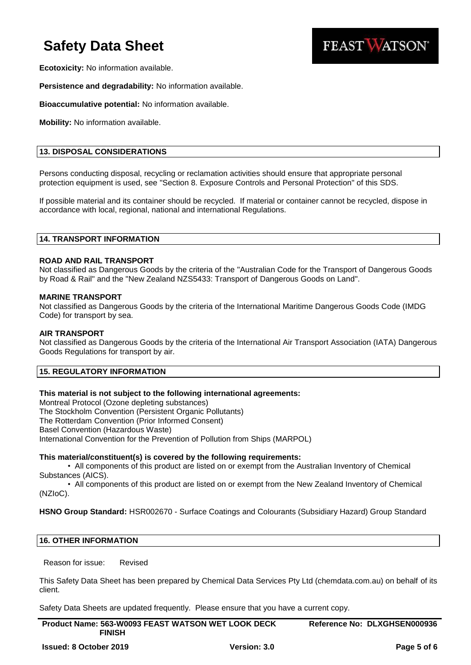

**Ecotoxicity:** No information available.

**Persistence and degradability:** No information available.

**Bioaccumulative potential:** No information available.

**Mobility:** No information available.

## **13. DISPOSAL CONSIDERATIONS**

Persons conducting disposal, recycling or reclamation activities should ensure that appropriate personal protection equipment is used, see "Section 8. Exposure Controls and Personal Protection" of this SDS.

If possible material and its container should be recycled. If material or container cannot be recycled, dispose in accordance with local, regional, national and international Regulations.

## **14. TRANSPORT INFORMATION**

### **ROAD AND RAIL TRANSPORT**

Not classified as Dangerous Goods by the criteria of the "Australian Code for the Transport of Dangerous Goods by Road & Rail" and the "New Zealand NZS5433: Transport of Dangerous Goods on Land".

### **MARINE TRANSPORT**

Not classified as Dangerous Goods by the criteria of the International Maritime Dangerous Goods Code (IMDG Code) for transport by sea.

## **AIR TRANSPORT**

Not classified as Dangerous Goods by the criteria of the International Air Transport Association (IATA) Dangerous Goods Regulations for transport by air.

## **15. REGULATORY INFORMATION**

## **This material is not subject to the following international agreements:**

Montreal Protocol (Ozone depleting substances)

The Stockholm Convention (Persistent Organic Pollutants)

The Rotterdam Convention (Prior Informed Consent)

Basel Convention (Hazardous Waste)

International Convention for the Prevention of Pollution from Ships (MARPOL)

## **This material/constituent(s) is covered by the following requirements:**

• All components of this product are listed on or exempt from the Australian Inventory of Chemical Substances (AICS).

• All components of this product are listed on or exempt from the New Zealand Inventory of Chemical (NZIoC).

**HSNO Group Standard:** HSR002670 - Surface Coatings and Colourants (Subsidiary Hazard) Group Standard

## **16. OTHER INFORMATION**

Reason for issue: Revised

This Safety Data Sheet has been prepared by Chemical Data Services Pty Ltd (chemdata.com.au) on behalf of its client.

Safety Data Sheets are updated frequently. Please ensure that you have a current copy.

| <b>Product Name: 563-W0093 FEAST WATSON WET LOOK DECK</b> | Reference No: DLXGHSEN000936 |
|-----------------------------------------------------------|------------------------------|
| <b>FINISH</b>                                             |                              |